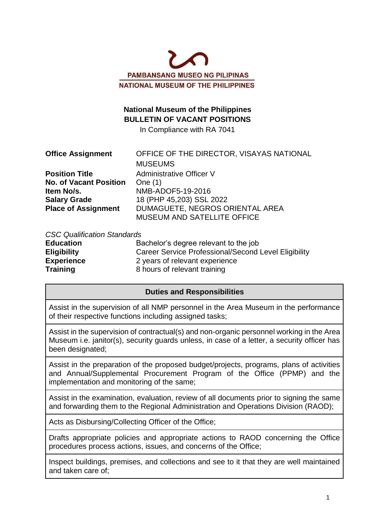

# **National Museum of the Philippines BULLETIN OF VACANT POSITIONS**

In Compliance with RA 7041

| <b>Office Assignment</b>      | OFFICE OF THE DIRECTOR, VISAYAS NATIONAL |
|-------------------------------|------------------------------------------|
|                               | <b>MUSEUMS</b>                           |
| <b>Position Title</b>         | Administrative Officer V                 |
| <b>No. of Vacant Position</b> | One $(1)$                                |
| Item No/s.                    | NMB-ADOF5-19-2016                        |
| <b>Salary Grade</b>           | 18 (PHP 45,203) SSL 2022                 |
| <b>Place of Assignment</b>    | DUMAGUETE, NEGROS ORIENTAL AREA          |
|                               | MUSEUM AND SATELLITE OFFICE              |

#### *CSC Qualification Standards*

| <b>Education</b>   | Bachelor's degree relevant to the job                |
|--------------------|------------------------------------------------------|
| <b>Eligibility</b> | Career Service Professional/Second Level Eligibility |
| <b>Experience</b>  | 2 years of relevant experience                       |
| Training           | 8 hours of relevant training                         |

### **Duties and Responsibilities**

Assist in the supervision of all NMP personnel in the Area Museum in the performance of their respective functions including assigned tasks;

Assist in the supervision of contractual(s) and non-organic personnel working in the Area Museum i.e. janitor(s), security guards unless, in case of a letter, a security officer has been designated;

Assist in the preparation of the proposed budget/projects, programs, plans of activities and Annual/Supplemental Procurement Program of the Office (PPMP) and the implementation and monitoring of the same;

Assist in the examination, evaluation, review of all documents prior to signing the same and forwarding them to the Regional Administration and Operations Division (RAOD);

Acts as Disbursing/Collecting Officer of the Office;

Drafts appropriate policies and appropriate actions to RAOD concerning the Office procedures process actions, issues, and concerns of the Office;

Inspect buildings, premises, and collections and see to it that they are well maintained and taken care of;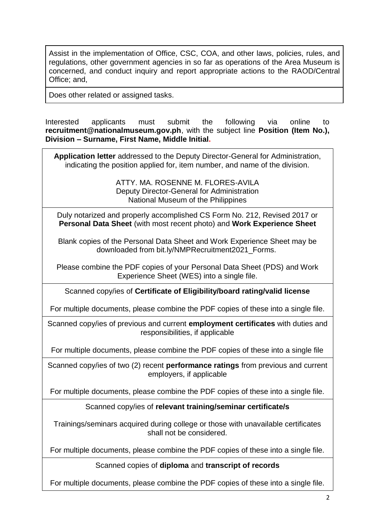Assist in the implementation of Office, CSC, COA, and other laws, policies, rules, and regulations, other government agencies in so far as operations of the Area Museum is concerned, and conduct inquiry and report appropriate actions to the RAOD/Central Office; and,

Does other related or assigned tasks.

Interested applicants must submit the following via online to **recruitment@nationalmuseum.gov.ph**, with the subject line **Position (Item No.), Division – Surname, First Name, Middle Initial.**

**Application letter** addressed to the Deputy Director-General for Administration, indicating the position applied for, item number, and name of the division.

> ATTY. MA. ROSENNE M. FLORES-AVILA Deputy Director-General for Administration National Museum of the Philippines

Duly notarized and properly accomplished CS Form No. 212, Revised 2017 or **Personal Data Sheet** (with most recent photo) and **Work Experience Sheet**

Blank copies of the Personal Data Sheet and Work Experience Sheet may be downloaded from bit.ly/NMPRecruitment2021\_Forms.

Please combine the PDF copies of your Personal Data Sheet (PDS) and Work Experience Sheet (WES) into a single file.

Scanned copy/ies of **Certificate of Eligibility/board rating/valid license**

For multiple documents, please combine the PDF copies of these into a single file.

Scanned copy/ies of previous and current **employment certificates** with duties and responsibilities, if applicable

For multiple documents, please combine the PDF copies of these into a single file

Scanned copy/ies of two (2) recent **performance ratings** from previous and current employers, if applicable

For multiple documents, please combine the PDF copies of these into a single file.

#### Scanned copy/ies of **relevant training/seminar certificate/s**

Trainings/seminars acquired during college or those with unavailable certificates shall not be considered.

For multiple documents, please combine the PDF copies of these into a single file.

Scanned copies of **diploma** and **transcript of records**

For multiple documents, please combine the PDF copies of these into a single file.